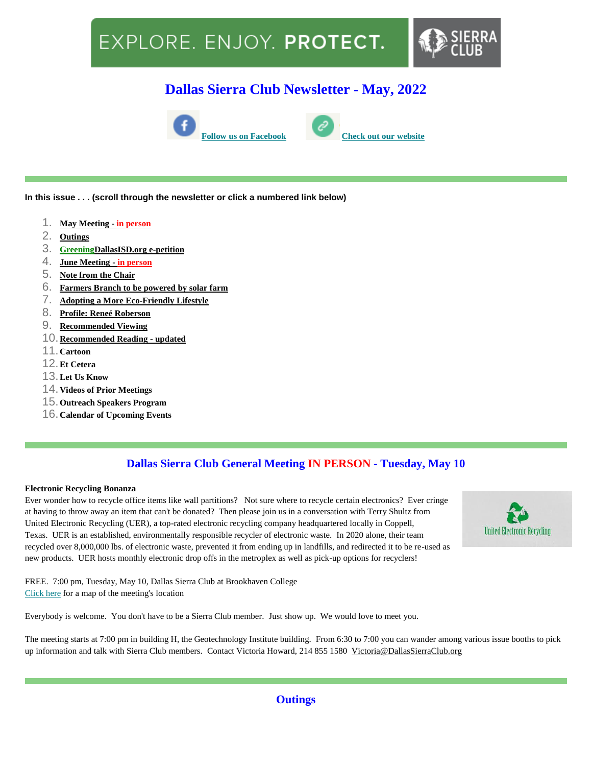# EXPLORE. ENJOY. PROTECT.



## **Dallas Sierra Club Newsletter - May, 2022**





**In this issue . . . (scroll through the newsletter or click a numbered link below)**

- 1. **[May Meeting -](file:///C:/Users/kirkm/Downloads/Dallas%20Sierra%20Club%20May%20Newsletter.htm%23may10) in person**
- 2. **[Outings](file:///C:/Users/kirkm/Downloads/Dallas%20Sierra%20Club%20May%20Newsletter.htm%23outings)**
- 3. **[GreeningDallasISD.org e-petition](file:///C:/Users/kirkm/Downloads/Dallas%20Sierra%20Club%20May%20Newsletter.htm%23esign)**
- 4. **[June Meeting -](file:///C:/Users/kirkm/Downloads/Dallas%20Sierra%20Club%20May%20Newsletter.htm%23jun14) in person**
- 5. **[Note from the Chair](file:///C:/Users/kirkm/Downloads/Dallas%20Sierra%20Club%20May%20Newsletter.htm%23note)**
- 6. **[Farmers Branch to be powered by solar farm](file:///C:/Users/kirkm/Downloads/Dallas%20Sierra%20Club%20May%20Newsletter.htm%23solar)**
- 7. **[Adopting a More Eco-Friendly Lifestyle](file:///C:/Users/kirkm/Downloads/Dallas%20Sierra%20Club%20May%20Newsletter.htm%23eco)**
- 8. **[Profile: Reneé Roberson](file:///C:/Users/kirkm/Downloads/Dallas%20Sierra%20Club%20May%20Newsletter.htm%23profile)**
- 9. **[Recommended Viewing](file:///C:/Users/kirkm/Downloads/Dallas%20Sierra%20Club%20May%20Newsletter.htm%23viewing)**
- 10.**[Recommended Reading -](file:///C:/Users/kirkm/Downloads/Dallas%20Sierra%20Club%20May%20Newsletter.htm%23reading) updated**
- 11.**Cartoon**
- 12.**Et Cetera**
- 13.**Let Us Know**
- 14.**Videos of Prior Meetings**
- 15.**Outreach Speakers Program**
- 16.**Calendar of Upcoming Events**

## **Dallas Sierra Club General Meeting IN PERSON - Tuesday, May 10**

#### **Electronic Recycling Bonanza**

Ever wonder how to recycle office items like wall partitions? Not sure where to recycle certain electronics? Ever cringe at having to throw away an item that can't be donated? Then please join us in a conversation with Terry Shultz from United Electronic Recycling (UER), a top-rated electronic recycling company headquartered locally in Coppell, Texas. UER is an established, environmentally responsible recycler of electronic waste. In 2020 alone, their team recycled over 8,000,000 lbs. of electronic waste, prevented it from ending up in landfills, and redirected it to be re-used as new products. UER hosts monthly electronic drop offs in the metroplex as well as pick-up options for recyclers!



FREE. 7:00 pm, Tuesday, May 10, Dallas Sierra Club at Brookhaven College [Click here](http://www.dallassierraclub.org/page.htm?generalmeeting) for a map of the meeting's location

Everybody is welcome. You don't have to be a Sierra Club member. Just show up. We would love to meet you.

The meeting starts at 7:00 pm in building H, the Geotechnology Institute building. From 6:30 to 7:00 you can wander among various issue booths to pick up information and talk with Sierra Club members. Contact Victoria Howard, 214 855 1580 [Victoria@DallasSierraClub.org](mailto:Victoria@DallasSierraClub.org)

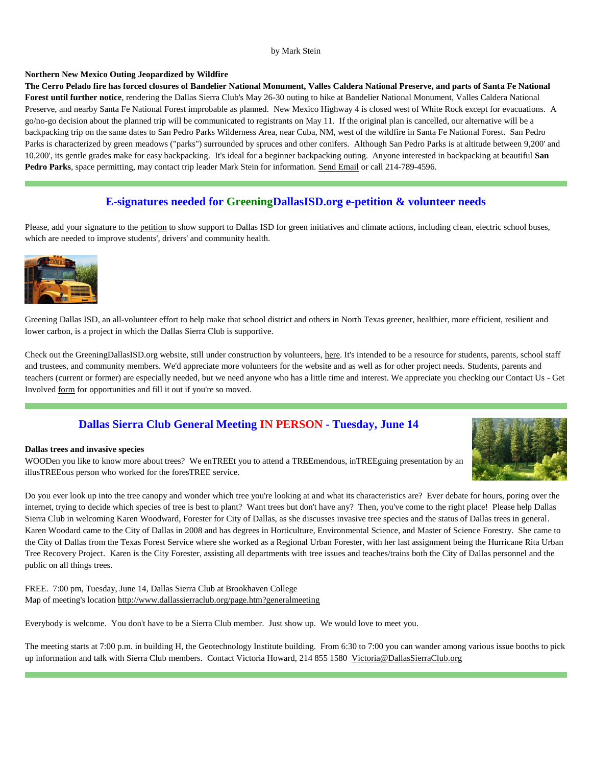#### by Mark Stein

#### **Northern New Mexico Outing Jeopardized by Wildfire**

**The Cerro Pelado fire has forced closures of Bandelier National Monument, Valles Caldera National Preserve, and parts of Santa Fe National Forest until further notice**, rendering the Dallas Sierra Club's May 26-30 outing to hike at Bandelier National Monument, Valles Caldera National Preserve, and nearby Santa Fe National Forest improbable as planned. New Mexico Highway 4 is closed west of White Rock except for evacuations. A go/no-go decision about the planned trip will be communicated to registrants on May 11. If the original plan is cancelled, our alternative will be a backpacking trip on the same dates to San Pedro Parks Wilderness Area, near Cuba, NM, west of the wildfire in Santa Fe National Forest. San Pedro Parks is characterized by green meadows ("parks") surrounded by spruces and other conifers. Although San Pedro Parks is at altitude between 9,200' and 10,200', its gentle grades make for easy backpacking. It's ideal for a beginner backpacking outing. Anyone interested in backpacking at beautiful **San Pedro Parks**, space permitting, may contact trip leader Mark Stein for information. [Send Email](https://dallassierraclub.org/email-confirm.php?a=675b066c653a6d6e5f63686a665b6868636861285d6967&n=Mark%20Stein&s=Bandelier,%20Valles%20Caldera,%20and%20Santa%20Fe%20NF,%20New%20Mexico) or call 214-789-4596.

### **E-signatures needed for GreeningDallasISD.org e-petition & volunteer needs**

Please, add your signature to the [petition](https://docs.google.com/forms/d/e/1FAIpQLSdIadXl3kiCn24sSPw1ACT_bM_wFAjviOhX_Htal_i18OOqZQ/viewform) to show support to Dallas ISD for green initiatives and climate actions, including clean, electric school buses, which are needed to improve students', drivers' and community health.



Greening Dallas ISD, an all-volunteer effort to help make that school district and others in North Texas greener, healthier, more efficient, resilient and lower carbon, is a project in which the Dallas Sierra Club is supportive.

Check out the GreeningDallasISD.org website, still under construction by volunteers, [here.](https://greeningdallasisd.org/) It's intended to be a resource for students, parents, school staff and trustees, and community members. We'd appreciate more volunteers for the website and as well as for other project needs. Students, parents and teachers (current or former) are especially needed, but we need anyone who has a little time and interest. We appreciate you checking our Contact Us - Get Involved [form](https://docs.google.com/forms/d/e/1FAIpQLSf4e7hV5owaMyvgaeUSoaFV1TZwB3-1AlQIe9642CS5AOZXvQ/viewform) for opportunities and fill it out if you're so moved.

### **Dallas Sierra Club General Meeting IN PERSON - Tuesday, June 14**

#### **Dallas trees and invasive species**

WOODen you like to know more about trees? We enTREEt you to attend a TREEmendous, inTREEguing presentation by an illusTREEous person who worked for the foresTREE service.

Do you ever look up into the tree canopy and wonder which tree you're looking at and what its characteristics are? Ever debate for hours, poring over the internet, trying to decide which species of tree is best to plant? Want trees but don't have any? Then, you've come to the right place! Please help Dallas Sierra Club in welcoming Karen Woodward, Forester for City of Dallas, as she discusses invasive tree species and the status of Dallas trees in general. Karen Woodard came to the City of Dallas in 2008 and has degrees in Horticulture, Environmental Science, and Master of Science Forestry. She came to the City of Dallas from the Texas Forest Service where she worked as a Regional Urban Forester, with her last assignment being the Hurricane Rita Urban Tree Recovery Project. Karen is the City Forester, assisting all departments with tree issues and teaches/trains both the City of Dallas personnel and the public on all things trees.

FREE. 7:00 pm, Tuesday, June 14, Dallas Sierra Club at Brookhaven College Map of meeting's location <http://www.dallassierraclub.org/page.htm?generalmeeting>

Everybody is welcome. You don't have to be a Sierra Club member. Just show up. We would love to meet you.

The meeting starts at 7:00 p.m. in building H, the Geotechnology Institute building. From 6:30 to 7:00 you can wander among various issue booths to pick up information and talk with Sierra Club members. Contact Victoria Howard, 214 855 1580 [Victoria@DallasSierraClub.org](mailto:Victoria@DallasSierraClub.org)

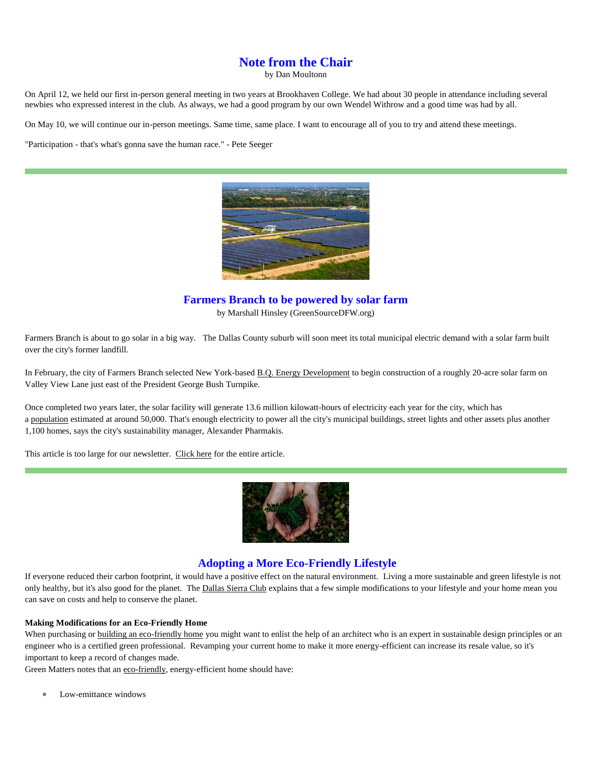## **Note from the Chair**

by Dan Moultonn

On April 12, we held our first in-person general meeting in two years at Brookhaven College. We had about 30 people in attendance including several newbies who expressed interest in the club. As always, we had a good program by our own Wendel Withrow and a good time was had by all.

On May 10, we will continue our in-person meetings. Same time, same place. I want to encourage all of you to try and attend these meetings.

"Participation - that's what's gonna save the human race." - Pete Seeger



**Farmers Branch to be powered by solar farm**

by Marshall Hinsley (GreenSourceDFW.org)

Farmers Branch is about to go solar in a big way. The Dallas County suburb will soon meet its total municipal electric demand with a solar farm built over the city's former landfill.

In February, the city of Farmers Branch selected New York-based [B.Q. Energy Development](https://www.bqenergy.com/) to begin construction of a roughly 20-acre solar farm on Valley View Lane just east of the President George Bush Turnpike.

Once completed two years later, the solar facility will generate 13.6 million kilowatt-hours of electricity each year for the city, which has a [population](https://en.wikipedia.org/wiki/Farmers_Branch,_Texas) estimated at around 50,000. That's enough electricity to power all the city's municipal buildings, street lights and other assets plus another 1,100 homes, says the city's sustainability manager, Alexander Pharmakis.

This article is too large for our newsletter. [Click here](https://greensourcedfw.org/articles/farmers-branch-be-powered-solar-farm) for the entire article.



#### **Adopting a More Eco-Friendly Lifestyle**

If everyone reduced their carbon footprint, it would have a positive effect on the natural environment. Living a more sustainable and green lifestyle is not only healthy, but it's also good for the planet. The [Dallas Sierra Club](https://dallassierraclub.org/) explains that a few simple modifications to your lifestyle and your home mean you can save on costs and help to conserve the planet.

#### **Making Modifications for an Eco-Friendly Home**

When purchasing or [building an eco-friendly home](https://montanaheritagehomebuilders.com/mhhb-services/energy-efficient-homes/) you might want to enlist the help of an architect who is an expert in sustainable design principles or an engineer who is a certified green professional. Revamping your current home to make it more energy-efficient can increase its resale value, so it's important to keep a record of changes made.

Green Matters notes that an [eco-friendly,](https://www.greenmatters.com/p/what-should-eco-friendly-house-have) energy-efficient home should have:

Low-emittance windows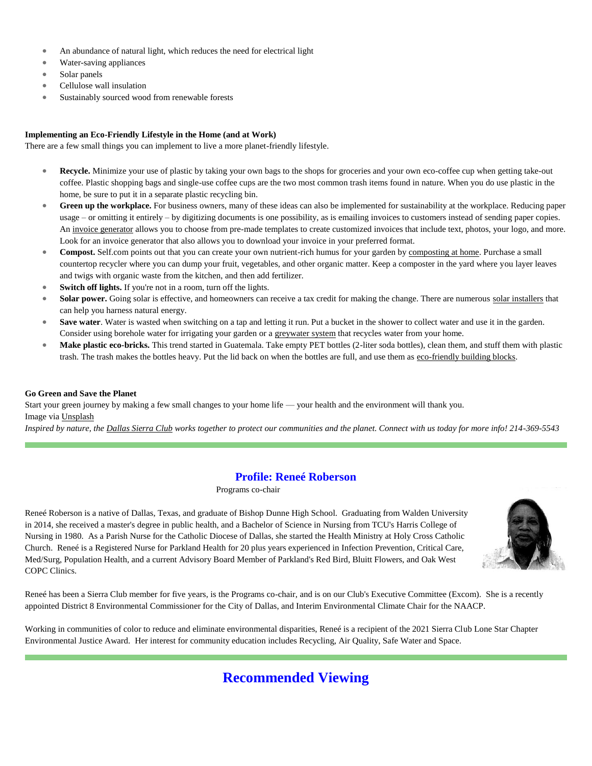- An abundance of natural light, which reduces the need for electrical light
- Water-saving appliances
- Solar panels
- Cellulose wall insulation
- Sustainably sourced wood from renewable forests

#### **Implementing an Eco-Friendly Lifestyle in the Home (and at Work)**

There are a few small things you can implement to live a more planet-friendly lifestyle.

- **Recycle.** Minimize your use of plastic by taking your own bags to the shops for groceries and your own eco-coffee cup when getting take-out coffee. Plastic shopping bags and single-use coffee cups are the two most common trash items found in nature. When you do use plastic in the home, be sure to put it in a separate plastic recycling bin.
- **Green up the workplace.** For business owners, many of these ideas can also be implemented for sustainability at the workplace. Reducing paper usage – or omitting it entirely – by digitizing documents is one possibility, as is emailing invoices to customers instead of sending paper copies. An [invoice generator](https://www.adobe.com/express/create/invoice) allows you to choose from pre-made templates to create customized invoices that include text, photos, your logo, and more. Look for an invoice generator that also allows you to download your invoice in your preferred format.
- **Compost.** Self.com points out that you can create your own nutrient-rich humus for your garden by [composting at home.](https://www.self.com/story/how-to-start-composting) Purchase a small countertop recycler where you can dump your fruit, vegetables, and other organic matter. Keep a composter in the yard where you layer leaves and twigs with organic waste from the kitchen, and then add fertilizer.
- **Switch off lights.** If you're not in a room, turn off the lights.
- Solar power. Going solar is effective, and homeowners can receive a tax credit for making the change. There are numerous [solar installers](https://www.thesolardirectory.com/) that can help you harness natural energy.
- **Save water**. Water is wasted when switching on a tap and letting it run. Put a bucket in the shower to collect water and use it in the garden. Consider using borehole water for irrigating your garden or a **[greywater system](https://www.thegreywaterguide.com/montana.html/)** that recycles water from your home.
- Make plastic eco-bricks. This trend started in Guatemala. Take empty PET bottles (2-liter soda bottles), clean them, and stuff them with plastic trash. The trash makes the bottles heavy. Put the lid back on when the bottles are full, and use them as [eco-friendly building blocks.](https://ecobricks.org/en/welcome.php)

#### **Go Green and Save the Planet**

Start your green journey by making a few small changes to your home life — your health and the environment will thank you. Image via [Unsplash](https://images.unsplash.com/photo-1542601906990-b4d3fb778b09?ixlib=rb-1.2.1&ixid=MnwxMjA3fDB8MHxwaG90by1wYWdlfHx8fGVufDB8fHx8&auto=format&fit=crop&w=1613&q=80)

*Inspired by nature, the [Dallas Sierra Club](https://dallassierraclub.org/) works together to protect our communities and the planet. Connect with us today for more info! 214-369-5543*

### **Profile: Reneé Roberson**

Programs co-chair

Reneé Roberson is a native of Dallas, Texas, and graduate of Bishop Dunne High School. Graduating from Walden University in 2014, she received a master's degree in public health, and a Bachelor of Science in Nursing from TCU's Harris College of Nursing in 1980. As a Parish Nurse for the Catholic Diocese of Dallas, she started the Health Ministry at Holy Cross Catholic Church. Reneé is a Registered Nurse for Parkland Health for 20 plus years experienced in Infection Prevention, Critical Care, Med/Surg, Population Health, and a current Advisory Board Member of Parkland's Red Bird, Bluitt Flowers, and Oak West COPC Clinics.



Reneé has been a Sierra Club member for five years, is the Programs co-chair, and is on our Club's Executive Committee (Excom). She is a recently appointed District 8 Environmental Commissioner for the City of Dallas, and Interim Environmental Climate Chair for the NAACP.

Working in communities of color to reduce and eliminate environmental disparities, Reneé is a recipient of the 2021 Sierra Club Lone Star Chapter Environmental Justice Award. Her interest for community education includes Recycling, Air Quality, Safe Water and Space.

## **Recommended Viewing**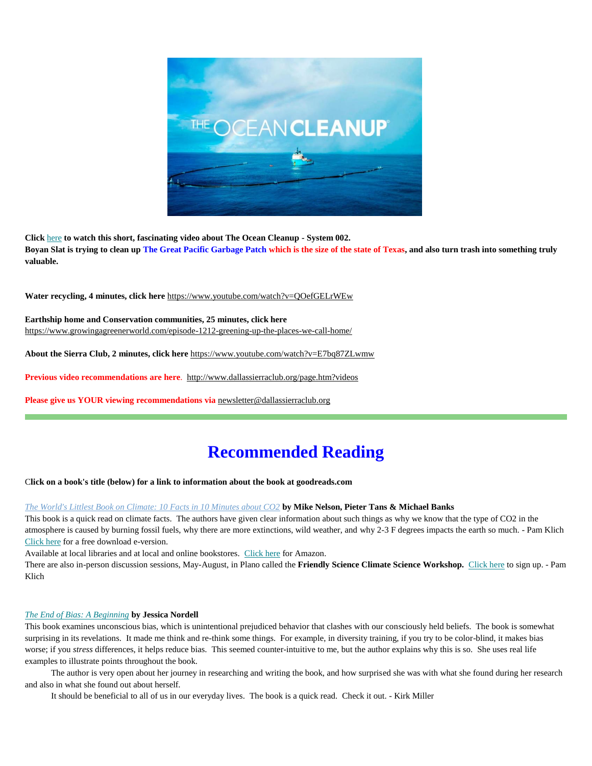

**Click** [here](https://www.youtube.com/watch?v=tLcnJEMnlTs) **to watch this short, fascinating video about The Ocean Cleanup - System 002. Boyan Slat is trying to clean up The Great Pacific Garbage Patch which is the size of the state of Texas, and also turn trash into something truly valuable.**

**Water recycling, 4 minutes, click here** <https://www.youtube.com/watch?v=QOefGELrWEw>

**Earthship home and Conservation communities, 25 minutes, click here** <https://www.growingagreenerworld.com/episode-1212-greening-up-the-places-we-call-home/>

**About the Sierra Club, 2 minutes, click here** <https://www.youtube.com/watch?v=E7bq87ZLwmw>

**Previous video recommendations are here**.<http://www.dallassierraclub.org/page.htm?videos>

**Please give us YOUR viewing recommendations via** [newsletter@dallassierraclub.org](mailto:newsletter@dallassierraclub.org)

## **Recommended Reading**

C**lick on a book's title (below) for a link to information about the book at goodreads.com**

#### *[The World's Littlest Book on Climate: 10 Facts in 10 Minutes about CO2](https://www.goodreads.com/book/show/55474959-the-world-s-littlest-book-on-climate?ac=1&from_search=true&qid=tysmyfRO3W&rank=1)* **by Mike Nelson, Pieter Tans & Michael Banks**

This book is a quick read on climate facts. The authors have given clear information about such things as why we know that the type of CO2 in the atmosphere is caused by burning fossil fuels, why there are more extinctions, wild weather, and why 2-3 F degrees impacts the earth so much. - Pam Klich [Click here](https://tenintenco2.com/) for a free download e-version.

Available at local libraries and at local and online bookstores. [Click here](https://smile.amazon.com/Worlds-Littlest-Book-Climate-Minutes/dp/B08KQ64VCG/ref=sr_1_1?crid=16TIW4IEG696S&keywords=The+World%E2%80%99s+Littlest+Book+on+Climate&qid=1651602926&sprefix=the+world+s+littlest+book+on+climate%2Caps%2C142&sr=8-1) for Amazon.

There are also in-person discussion sessions, May-August, in Plano called the **Friendly Science Climate Science Workshop.** [Click here](http://tinyurl.com/FCSWorkshop) to sign up. - Pam Klich

#### *[The End of Bias: A Beginning](https://www.goodreads.com/book/show/52079610-the-end-of-bias?from_search=true&from_srp=true&qid=h6YTse2Ke0&rank=1)* **by Jessica Nordell**

This book examines unconscious bias, which is unintentional prejudiced behavior that clashes with our consciously held beliefs. The book is somewhat surprising in its revelations. It made me think and re-think some things. For example, in diversity training, if you try to be color-blind, it makes bias worse; if you *stress* differences, it helps reduce bias. This seemed counter-intuitive to me, but the author explains why this is so. She uses real life examples to illustrate points throughout the book.

 The author is very open about her journey in researching and writing the book, and how surprised she was with what she found during her research and also in what she found out about herself.

It should be beneficial to all of us in our everyday lives. The book is a quick read. Check it out. - Kirk Miller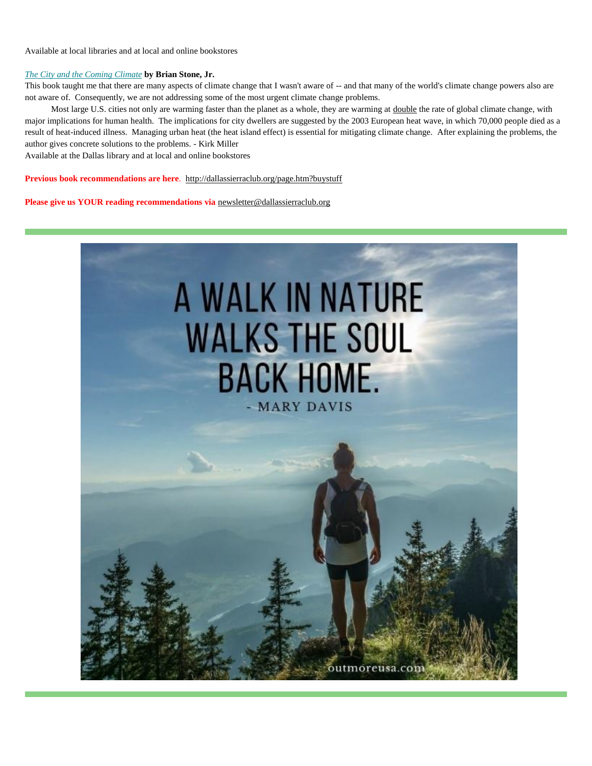Available at local libraries and at local and online bookstores

#### *[The City and the Coming Climate](https://www.goodreads.com/book/show/13832091-the-city-and-the-coming-climate?from_search=true&from_srp=true&qid=EOtqzrpr9p&rank=1)* **by Brian Stone, Jr.**

This book taught me that there are many aspects of climate change that I wasn't aware of -- and that many of the world's climate change powers also are not aware of. Consequently, we are not addressing some of the most urgent climate change problems.

Most large U.S. cities not only are warming faster than the planet as a whole, they are warming at double the rate of global climate change, with major implications for human health. The implications for city dwellers are suggested by the 2003 European heat wave, in which 70,000 people died as a result of heat-induced illness. Managing urban heat (the heat island effect) is essential for mitigating climate change. After explaining the problems, the author gives concrete solutions to the problems. - Kirk Miller

Available at the Dallas library and at local and online bookstores

**Previous book recommendations are here**. <http://dallassierraclub.org/page.htm?buystuff>

**Please give us YOUR reading recommendations via** [newsletter@dallassierraclub.org](mailto:newsletter@dallassierraclub.org)

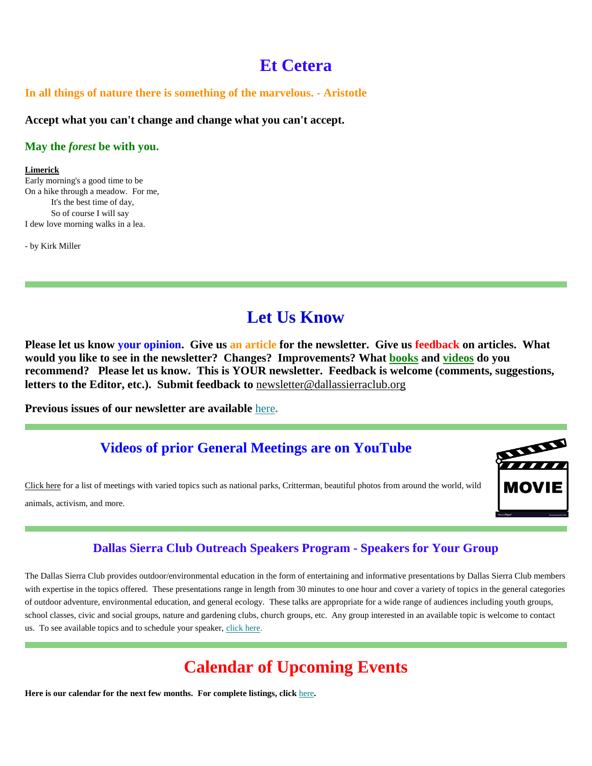## **Et Cetera**

## **In all things of nature there is something of the marvelous. - Aristotle**

**Accept what you can't change and change what you can't accept.**

### **May the** *forest* **be with you.**

#### **Limerick**

Early morning's a good time to be On a hike through a meadow. For me, It's the best time of day, So of course I will say I dew love morning walks in a lea.

- by Kirk Miller

## **Let Us Know**

**Please let us know your opinion. Give us an article for the newsletter. Give us feedback on articles. What would you like to see in the newsletter? Changes? Improvements? What [books](file:///C:/Users/kirkm/Downloads/Dallas%20Sierra%20Club%20May%20Newsletter.htm%23reading) and [videos](file:///C:/Users/kirkm/Downloads/Dallas%20Sierra%20Club%20May%20Newsletter.htm%23viewing) do you recommend? Please let us know. This is YOUR newsletter. Feedback is welcome (comments, suggestions, letters to the Editor, etc.). Submit feedback to** [newsletter@dallassierraclub.org](mailto:newsletter@dallassierraclub.org)

**Previous issues of our newsletter are available** [here](https://dallassierraclub.us1.list-manage.com/track/click?u=c1d52f6f461e6392896fb02a5&id=9546a74924&e=6dca5b0c78)**.**

## **Videos of prior General Meetings are on YouTube**

[Click here](http://dallassierraclub.org/page.htm?generalmeeting) for a list of meetings with varied topics such as national parks, Critterman, beautiful photos from around the world, wild animals, activism, and more.



## **Dallas Sierra Club Outreach Speakers Program - Speakers for Your Group**

The Dallas Sierra Club provides outdoor/environmental education in the form of entertaining and informative presentations by Dallas Sierra Club members with expertise in the topics offered. These presentations range in length from 30 minutes to one hour and cover a variety of topics in the general categories of outdoor adventure, environmental education, and general ecology. These talks are appropriate for a wide range of audiences including youth groups, school classes, civic and social groups, nature and gardening clubs, church groups, etc. Any group interested in an available topic is welcome to contact us. To see available topics and to schedule your speaker, [click here.](http://www.dallassierraclub.org/page.htm?speakers)

## **Calendar of Upcoming Events**

**Here is our calendar for the next few months. For complete listings, click** [here](http://dallassierraclub.org/calendar.htm)**.**